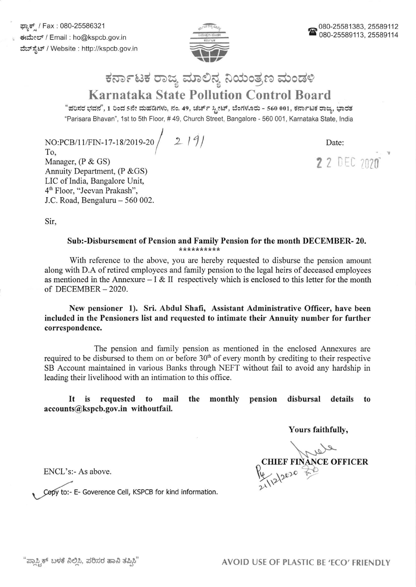ಘ್ಯಾಕ್ / Fax : 080-25586321 ಕಃಮೇಲ್ / Email : ho@kspcb.gov.in ವೆಬ್ ಸ್ಪೆಟ್ / Website : http://kspcb.gov.in



## ಕರ್ನಾಟಕ ರಾಜ್ಯ ಮಾಲಿನ್ಯ ನಿಯಂತ್ರಣ ಮಂಡಳಿ Karnataka State Pollution Control Board

"ಪರಿಸರ ಭವನ", 1 ರಿಂದ 5ನೇ ಮಹಡಿಗಳು, ನಂ. 49, ಚರ್ಚ್ ಸ್ಟೀಟ್, ಬೆಂಗಳೂರು - 560 001, ಕರ್ನಾಟಕ ರಾಜ್ಯ, ಭಾರತ "Parisara Bhavan", 1st to sth Floor, # 49, Church Street, Bangalore - 560 001, Karnataka State, lndia

NO:PCB/11/FIN-17-18/2019-20 /  $12191$ 

To, Manager, (P & GS) Annuity Department, (P & GS) LIC of India, Bangalore Unit, 46 Floor, "Jeevan Prakash", J.C. Road, Bengaluru - 560 002. Date:

2 2 DEC 2020

Sir

# Sub:-Disbursement of Pension and Family Pension for the month DECEMBER- 20.

With reference to the above, you are hereby requested to disburse the pension amount along with D.A of retired employees and family pension to the legal heirs of deceased employees as mentioned in the Annexure  $-I & II$  respectively which is enclosed to this letter for the month of DECEMBER-2020.

New pensioner 1). Sri. Abdul Shafi, Assistant Administrative Officer, have been included in the Pensioners list and requested to intimate their Annuity number for further correspondence.

The pension and famity pension as mentioned in the enclosed Annexures are required to be disbursed to them on or before 30'h of every month by crediting to their respective SB Account maintained in various Banks through NEFT without fail to avoid any hardship in leading their livelihood with an intimation to this office.

### It is requested to mail the monthly pension disbursal details to accounts@kspcb.gov.in withoutfail.

Yours faithfully,

CHIEF FINANCE OFFICER

ENCL's:- As above.

Copy to:- E- Goverence Cell, KSPCB for kind information.